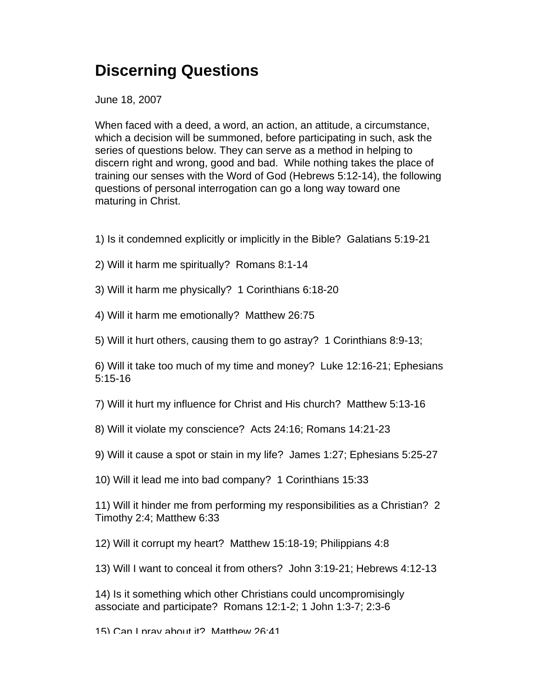## **Discerning Questions**

June 18, 2007

When faced with a deed, a word, an action, an attitude, a circumstance, which a decision will be summoned, before participating in such, ask the series of questions below. They can serve as a method in helping to discern right and wrong, good and bad. While nothing takes the place of training our senses with the Word of God (Hebrews 5:12-14), the following questions of personal interrogation can go a long way toward one maturing in Christ.

- 1) Is it condemned explicitly or implicitly in the Bible? Galatians 5:19-21
- 2) Will it harm me spiritually? Romans 8:1-14
- 3) Will it harm me physically? 1 Corinthians 6:18-20
- 4) Will it harm me emotionally? Matthew 26:75
- 5) Will it hurt others, causing them to go astray? 1 Corinthians 8:9-13;

6) Will it take too much of my time and money? Luke 12:16-21; Ephesians 5:15-16

7) Will it hurt my influence for Christ and His church? Matthew 5:13-16

8) Will it violate my conscience? Acts 24:16; Romans 14:21-23

- 9) Will it cause a spot or stain in my life? James 1:27; Ephesians 5:25-27
- 10) Will it lead me into bad company? 1 Corinthians 15:33

11) Will it hinder me from performing my responsibilities as a Christian? 2 Timothy 2:4; Matthew 6:33

12) Will it corrupt my heart? Matthew 15:18-19; Philippians 4:8

13) Will I want to conceal it from others? John 3:19-21; Hebrews 4:12-13

14) Is it something which other Christians could uncompromisingly associate and participate? Romans 12:1-2; 1 John 1:3-7; 2:3-6

15) Can I pray about it? Matthew 26:41